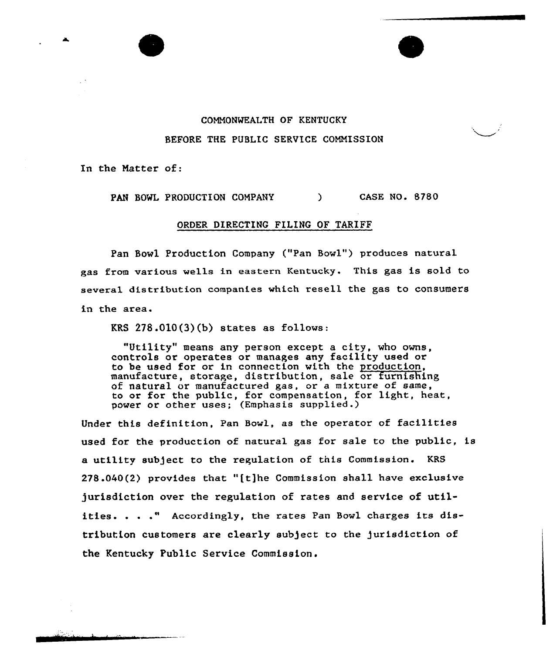## COMMONWEALTH OF KENTUCKY BEFORE THE PUBLIC SERVICE COMMISSION

In the Matter of:

PAN BOWL PRODUCTION COMPANY ) CASE NO. 8780

## ORDER DIRECTING FILING OF TARIFF

Pan Bowl Production Company ("Pan Bowl") produces natural gas from various wells in eastern Kentucky. This gas is sold to several distribution companies which resell the gas to consumers in the area.

KRS  $278.010(3)(b)$  states as follows:

"Utility" means any person except <sup>a</sup> city, who owns, controls or operates or manages any facility used or to be used for or in connection with the production, manufacture, storage, distribution, sale or furnishing of natural or manufactured gas, or a mixture of same, to or for the public, for compensation, for light, heat power or other uses; (Emphasis supplied.

Under this definition, Pan Bowl, as the operator of facilities used for the production of natural gas for sale to the public, is a utility subject to the regulation of this Commission. KRS 278.040(2) provides that "ft]he Commission shall have exclusive )urisdiction over the regulation of rates and service of utilities. . . ." Accordingly, the rates Pan Bowl charges its distribution customers are clearly sub)ect to the )urisdiction of the Kentucky Public Service Commission.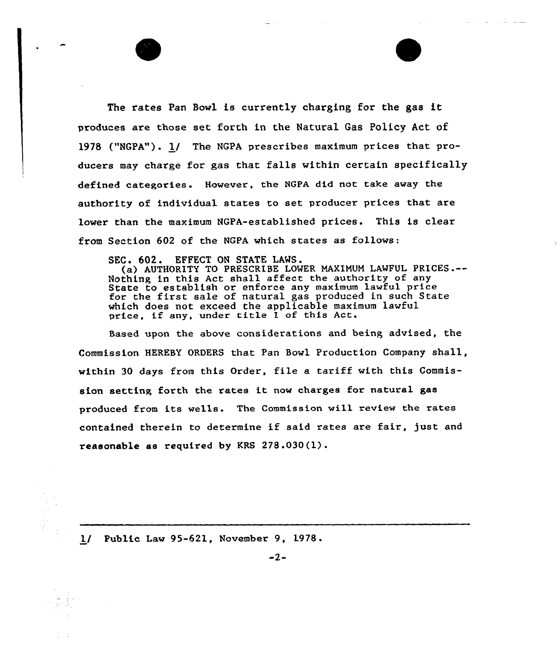The rates Pan Bowl is currently charging for the gas it produces are those set forth in the Natural Gas Policy Act of 1978 ("NGPA"). 1/ The NGPA prescribes maximum prices that producers may charge for gas that falls within certain specifically defined categories. However, the NGPA did not take away the authority of individual states to set producer prices that are lower than the maximum NGPA-established prices. This is clear from Section 602 of the NGPA which states as follows:

SEC. 602. EFFECT ON STATE LAWS.

(a) AUTHORITY TO PRESCRIBE LONER NAXINUH LAWFUL PRICES.-- Nothing in this Act shall affect the authority of any State to establish or enforce any maximum lawful price state to establish of enforce any maximum fawful price<br>for the first sale of natural gas produced in such State which does not exceed the applicable maximum lawful price, if any, under title I of this Act.

Based upon the above considerations and being advised, the Commission HEREBY ORDERS that Pan Bowl Production Company shall, within 30 days from this Order, file a tariff with this Commission setting forth the rates it now charges for natural gas produced from its wells. The Commission will review the rates contained therein to determine if said rates are fair, just and reasonable as required by KRS <sup>278</sup> .030(1).

1/ Public Law 95-621, November 9, 1978.